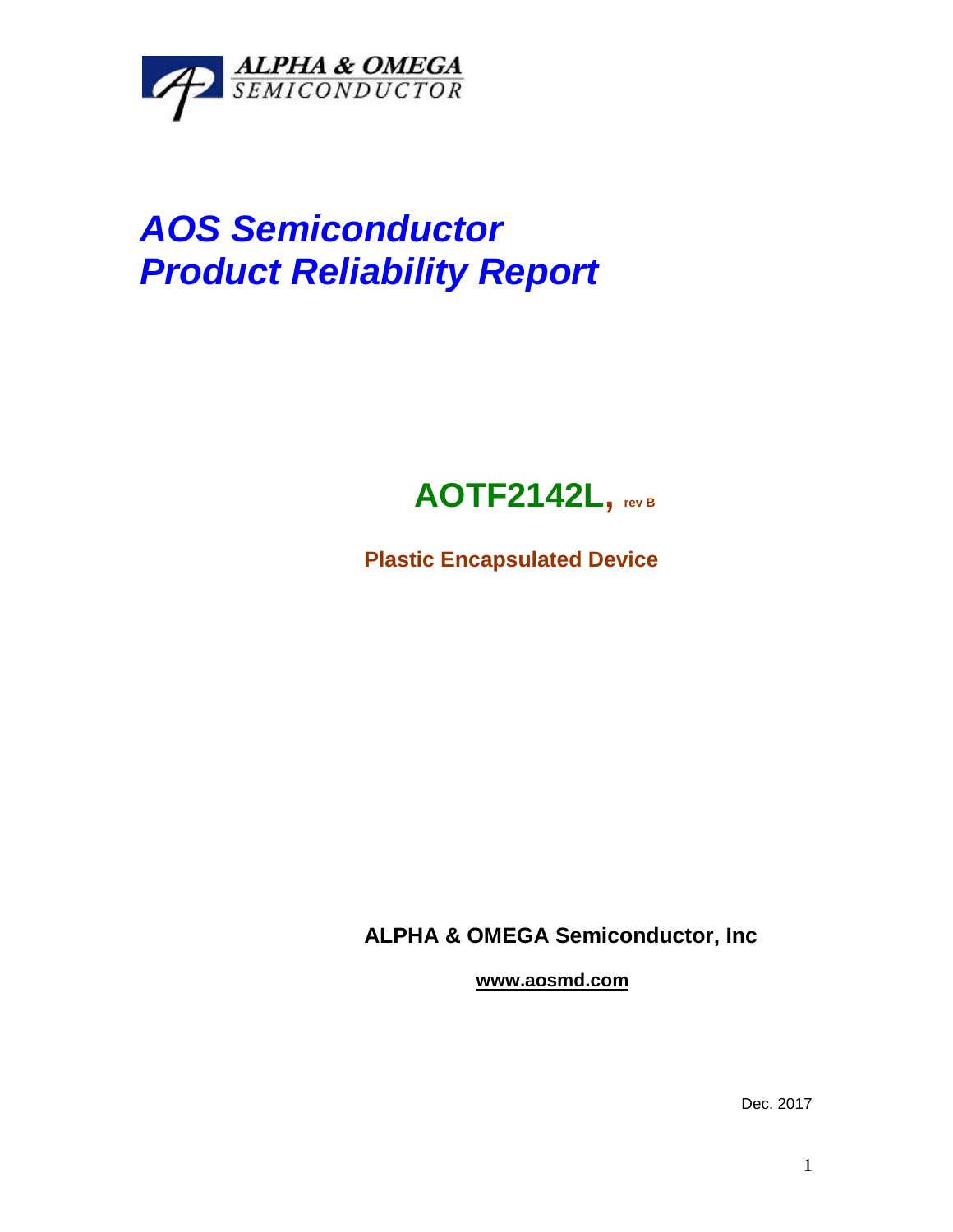

## *AOS Semiconductor Product Reliability Report*



**Plastic Encapsulated Device**

**ALPHA & OMEGA Semiconductor, Inc**

**www.aosmd.com**

Dec. 2017